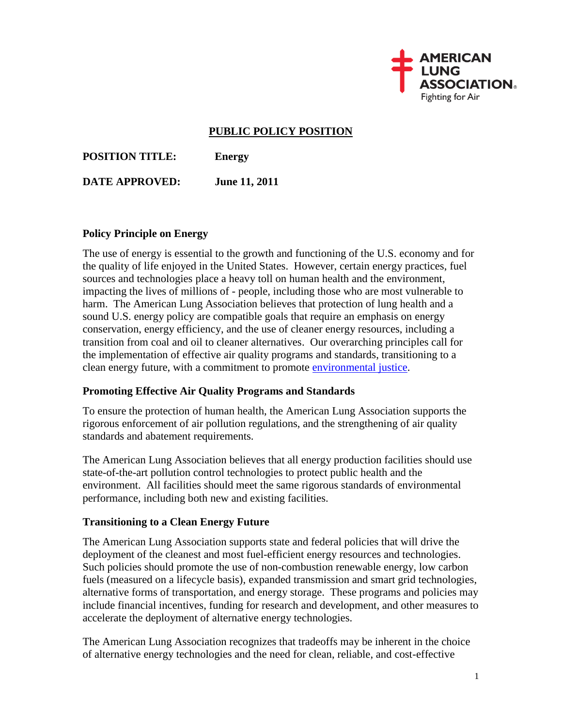

## **PUBLIC POLICY POSITION**

# **POSITION TITLE: Energy**

**DATE APPROVED: June 11, 2011**

## **Policy Principle on Energy**

The use of energy is essential to the growth and functioning of the U.S. economy and for the quality of life enjoyed in the United States. However, certain energy practices, fuel sources and technologies place a heavy toll on human health and the environment, impacting the lives of millions of - people, including those who are most vulnerable to harm. The American Lung Association believes that protection of lung health and a sound U.S. energy policy are compatible goals that require an emphasis on energy conservation, energy efficiency, and the use of cleaner energy resources, including a transition from coal and oil to cleaner alternatives. Our overarching principles call for the implementation of effective air quality programs and standards, transitioning to a clean energy future, with a commitment to promote [environmental justice.](ttp://www.epa.gov/environmentaljustice/basics/index.html)

## **Promoting Effective Air Quality Programs and Standards**

To ensure the protection of human health, the American Lung Association supports the rigorous enforcement of air pollution regulations, and the strengthening of air quality standards and abatement requirements.

The American Lung Association believes that all energy production facilities should use state-of-the-art pollution control technologies to protect public health and the environment. All facilities should meet the same rigorous standards of environmental performance, including both new and existing facilities.

## **Transitioning to a Clean Energy Future**

The American Lung Association supports state and federal policies that will drive the deployment of the cleanest and most fuel-efficient energy resources and technologies. Such policies should promote the use of non-combustion renewable energy, low carbon fuels (measured on a lifecycle basis), expanded transmission and smart grid technologies, alternative forms of transportation, and energy storage. These programs and policies may include financial incentives, funding for research and development, and other measures to accelerate the deployment of alternative energy technologies.

The American Lung Association recognizes that tradeoffs may be inherent in the choice of alternative energy technologies and the need for clean, reliable, and cost-effective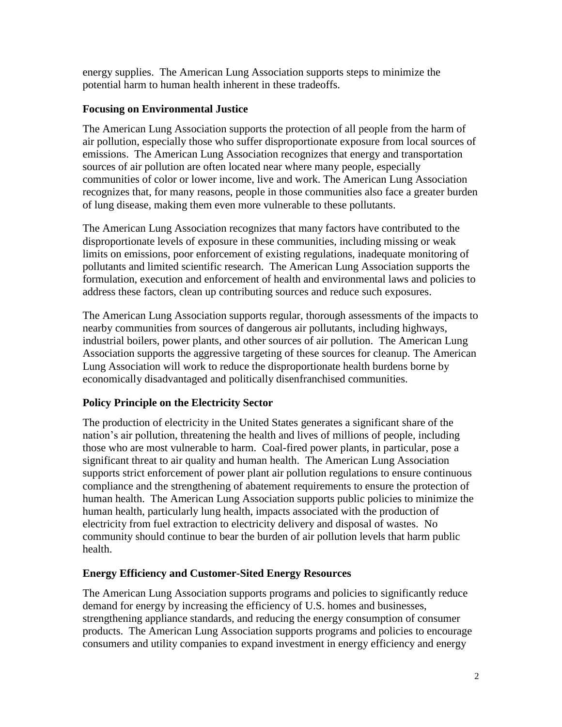energy supplies. The American Lung Association supports steps to minimize the potential harm to human health inherent in these tradeoffs.

## **Focusing on Environmental Justice**

The American Lung Association supports the protection of all people from the harm of air pollution, especially those who suffer disproportionate exposure from local sources of emissions. The American Lung Association recognizes that energy and transportation sources of air pollution are often located near where many people, especially communities of color or lower income, live and work. The American Lung Association recognizes that, for many reasons, people in those communities also face a greater burden of lung disease, making them even more vulnerable to these pollutants.

The American Lung Association recognizes that many factors have contributed to the disproportionate levels of exposure in these communities, including missing or weak limits on emissions, poor enforcement of existing regulations, inadequate monitoring of pollutants and limited scientific research. The American Lung Association supports the formulation, execution and enforcement of health and environmental laws and policies to address these factors, clean up contributing sources and reduce such exposures.

The American Lung Association supports regular, thorough assessments of the impacts to nearby communities from sources of dangerous air pollutants, including highways, industrial boilers, power plants, and other sources of air pollution. The American Lung Association supports the aggressive targeting of these sources for cleanup. The American Lung Association will work to reduce the disproportionate health burdens borne by economically disadvantaged and politically disenfranchised communities.

## **Policy Principle on the Electricity Sector**

The production of electricity in the United States generates a significant share of the nation's air pollution, threatening the health and lives of millions of people, including those who are most vulnerable to harm. Coal-fired power plants, in particular, pose a significant threat to air quality and human health. The American Lung Association supports strict enforcement of power plant air pollution regulations to ensure continuous compliance and the strengthening of abatement requirements to ensure the protection of human health. The American Lung Association supports public policies to minimize the human health, particularly lung health, impacts associated with the production of electricity from fuel extraction to electricity delivery and disposal of wastes. No community should continue to bear the burden of air pollution levels that harm public health.

## **Energy Efficiency and Customer-Sited Energy Resources**

The American Lung Association supports programs and policies to significantly reduce demand for energy by increasing the efficiency of U.S. homes and businesses, strengthening appliance standards, and reducing the energy consumption of consumer products. The American Lung Association supports programs and policies to encourage consumers and utility companies to expand investment in energy efficiency and energy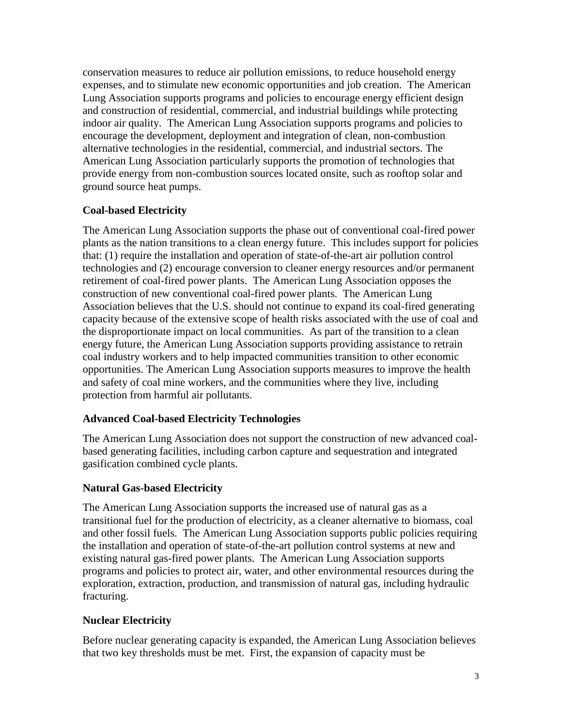conservation measures to reduce air pollution emissions, to reduce household energy expenses, and to stimulate new economic opportunities and job creation. The American Lung Association supports programs and policies to encourage energy efficient design and construction of residential, commercial, and industrial buildings while protecting indoor air quality. The American Lung Association supports programs and policies to encourage the development, deployment and integration of clean, non-combustion alternative technologies in the residential, commercial, and industrial sectors. The American Lung Association particularly supports the promotion of technologies that provide energy from non-combustion sources located onsite, such as rooftop solar and ground source heat pumps.

## **Coal-based Electricity**

The American Lung Association supports the phase out of conventional coal-fired power plants as the nation transitions to a clean energy future. This includes support for policies that: (1) require the installation and operation of state-of-the-art air pollution control technologies and (2) encourage conversion to cleaner energy resources and/or permanent retirement of coal-fired power plants. The American Lung Association opposes the construction of new conventional coal-fired power plants. The American Lung Association believes that the U.S. should not continue to expand its coal-fired generating capacity because of the extensive scope of health risks associated with the use of coal and the disproportionate impact on local communities. As part of the transition to a clean energy future, the American Lung Association supports providing assistance to retrain coal industry workers and to help impacted communities transition to other economic opportunities. The American Lung Association supports measures to improve the health and safety of coal mine workers, and the communities where they live, including protection from harmful air pollutants.

## **Advanced Coal-based Electricity Technologies**

The American Lung Association does not support the construction of new advanced coalbased generating facilities, including carbon capture and sequestration and integrated gasification combined cycle plants.

## **Natural Gas-based Electricity**

The American Lung Association supports the increased use of natural gas as a transitional fuel for the production of electricity, as a cleaner alternative to biomass, coal and other fossil fuels. The American Lung Association supports public policies requiring the installation and operation of state-of-the-art pollution control systems at new and existing natural gas-fired power plants. The American Lung Association supports programs and policies to protect air, water, and other environmental resources during the exploration, extraction, production, and transmission of natural gas, including hydraulic fracturing.

## **Nuclear Electricity**

Before nuclear generating capacity is expanded, the American Lung Association believes that two key thresholds must be met. First, the expansion of capacity must be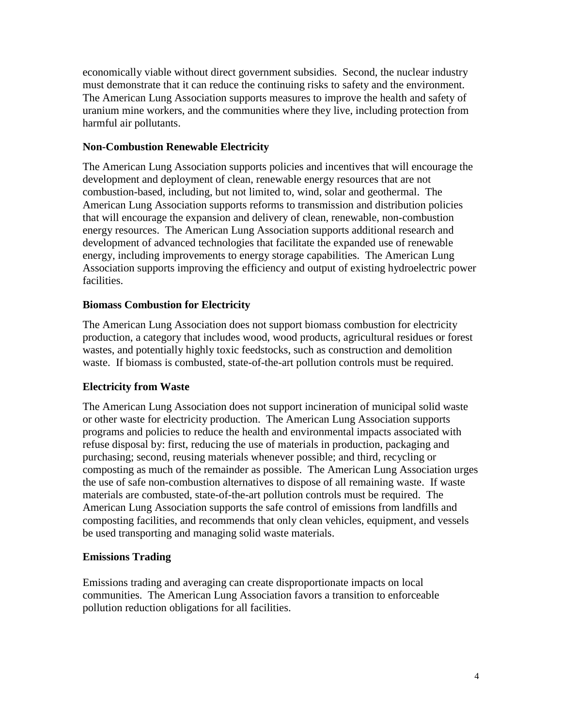economically viable without direct government subsidies. Second, the nuclear industry must demonstrate that it can reduce the continuing risks to safety and the environment. The American Lung Association supports measures to improve the health and safety of uranium mine workers, and the communities where they live, including protection from harmful air pollutants.

## **Non-Combustion Renewable Electricity**

The American Lung Association supports policies and incentives that will encourage the development and deployment of clean, renewable energy resources that are not combustion-based, including, but not limited to, wind, solar and geothermal. The American Lung Association supports reforms to transmission and distribution policies that will encourage the expansion and delivery of clean, renewable, non-combustion energy resources. The American Lung Association supports additional research and development of advanced technologies that facilitate the expanded use of renewable energy, including improvements to energy storage capabilities. The American Lung Association supports improving the efficiency and output of existing hydroelectric power facilities.

### **Biomass Combustion for Electricity**

The American Lung Association does not support biomass combustion for electricity production, a category that includes wood, wood products, agricultural residues or forest wastes, and potentially highly toxic feedstocks, such as construction and demolition waste. If biomass is combusted, state-of-the-art pollution controls must be required.

## **Electricity from Waste**

The American Lung Association does not support incineration of municipal solid waste or other waste for electricity production. The American Lung Association supports programs and policies to reduce the health and environmental impacts associated with refuse disposal by: first, reducing the use of materials in production, packaging and purchasing; second, reusing materials whenever possible; and third, recycling or composting as much of the remainder as possible. The American Lung Association urges the use of safe non-combustion alternatives to dispose of all remaining waste. If waste materials are combusted, state-of-the-art pollution controls must be required. The American Lung Association supports the safe control of emissions from landfills and composting facilities, and recommends that only clean vehicles, equipment, and vessels be used transporting and managing solid waste materials.

### **Emissions Trading**

Emissions trading and averaging can create disproportionate impacts on local communities. The American Lung Association favors a transition to enforceable pollution reduction obligations for all facilities.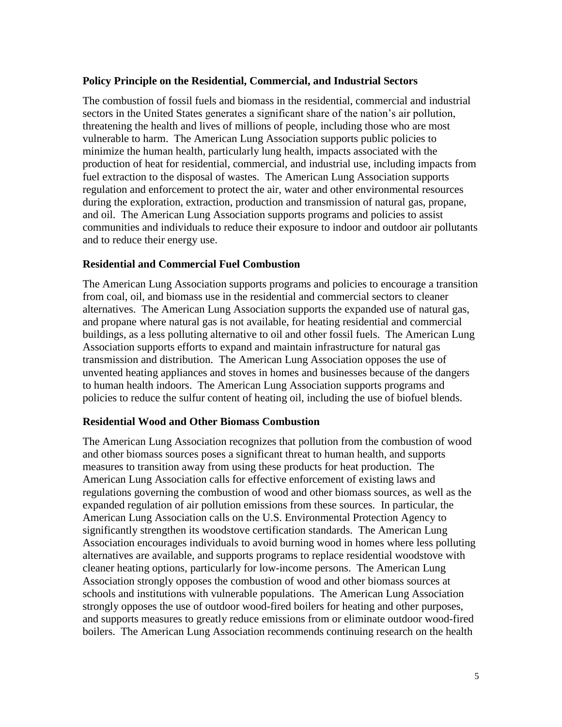#### **Policy Principle on the Residential, Commercial, and Industrial Sectors**

The combustion of fossil fuels and biomass in the residential, commercial and industrial sectors in the United States generates a significant share of the nation's air pollution, threatening the health and lives of millions of people, including those who are most vulnerable to harm. The American Lung Association supports public policies to minimize the human health, particularly lung health, impacts associated with the production of heat for residential, commercial, and industrial use, including impacts from fuel extraction to the disposal of wastes. The American Lung Association supports regulation and enforcement to protect the air, water and other environmental resources during the exploration, extraction, production and transmission of natural gas, propane, and oil. The American Lung Association supports programs and policies to assist communities and individuals to reduce their exposure to indoor and outdoor air pollutants and to reduce their energy use.

#### **Residential and Commercial Fuel Combustion**

The American Lung Association supports programs and policies to encourage a transition from coal, oil, and biomass use in the residential and commercial sectors to cleaner alternatives. The American Lung Association supports the expanded use of natural gas, and propane where natural gas is not available, for heating residential and commercial buildings, as a less polluting alternative to oil and other fossil fuels. The American Lung Association supports efforts to expand and maintain infrastructure for natural gas transmission and distribution. The American Lung Association opposes the use of unvented heating appliances and stoves in homes and businesses because of the dangers to human health indoors. The American Lung Association supports programs and policies to reduce the sulfur content of heating oil, including the use of biofuel blends.

#### **Residential Wood and Other Biomass Combustion**

The American Lung Association recognizes that pollution from the combustion of wood and other biomass sources poses a significant threat to human health, and supports measures to transition away from using these products for heat production. The American Lung Association calls for effective enforcement of existing laws and regulations governing the combustion of wood and other biomass sources, as well as the expanded regulation of air pollution emissions from these sources. In particular, the American Lung Association calls on the U.S. Environmental Protection Agency to significantly strengthen its woodstove certification standards. The American Lung Association encourages individuals to avoid burning wood in homes where less polluting alternatives are available, and supports programs to replace residential woodstove with cleaner heating options, particularly for low-income persons. The American Lung Association strongly opposes the combustion of wood and other biomass sources at schools and institutions with vulnerable populations. The American Lung Association strongly opposes the use of outdoor wood-fired boilers for heating and other purposes, and supports measures to greatly reduce emissions from or eliminate outdoor wood-fired boilers. The American Lung Association recommends continuing research on the health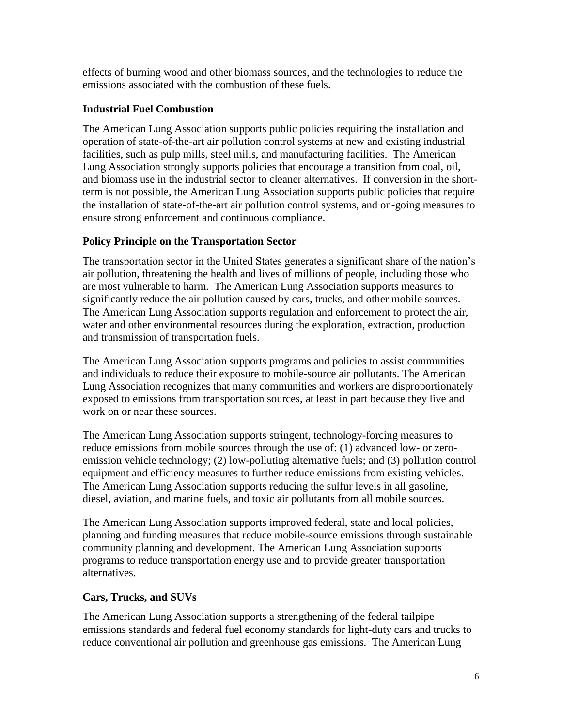effects of burning wood and other biomass sources, and the technologies to reduce the emissions associated with the combustion of these fuels.

# **Industrial Fuel Combustion**

The American Lung Association supports public policies requiring the installation and operation of state-of-the-art air pollution control systems at new and existing industrial facilities, such as pulp mills, steel mills, and manufacturing facilities. The American Lung Association strongly supports policies that encourage a transition from coal, oil, and biomass use in the industrial sector to cleaner alternatives. If conversion in the shortterm is not possible, the American Lung Association supports public policies that require the installation of state-of-the-art air pollution control systems, and on-going measures to ensure strong enforcement and continuous compliance.

# **Policy Principle on the Transportation Sector**

The transportation sector in the United States generates a significant share of the nation's air pollution, threatening the health and lives of millions of people, including those who are most vulnerable to harm. The American Lung Association supports measures to significantly reduce the air pollution caused by cars, trucks, and other mobile sources. The American Lung Association supports regulation and enforcement to protect the air, water and other environmental resources during the exploration, extraction, production and transmission of transportation fuels.

The American Lung Association supports programs and policies to assist communities and individuals to reduce their exposure to mobile-source air pollutants. The American Lung Association recognizes that many communities and workers are disproportionately exposed to emissions from transportation sources, at least in part because they live and work on or near these sources.

The American Lung Association supports stringent, technology-forcing measures to reduce emissions from mobile sources through the use of: (1) advanced low- or zeroemission vehicle technology; (2) low-polluting alternative fuels; and (3) pollution control equipment and efficiency measures to further reduce emissions from existing vehicles. The American Lung Association supports reducing the sulfur levels in all gasoline, diesel, aviation, and marine fuels, and toxic air pollutants from all mobile sources.

The American Lung Association supports improved federal, state and local policies, planning and funding measures that reduce mobile-source emissions through sustainable community planning and development. The American Lung Association supports programs to reduce transportation energy use and to provide greater transportation alternatives.

# **Cars, Trucks, and SUVs**

The American Lung Association supports a strengthening of the federal tailpipe emissions standards and federal fuel economy standards for light-duty cars and trucks to reduce conventional air pollution and greenhouse gas emissions. The American Lung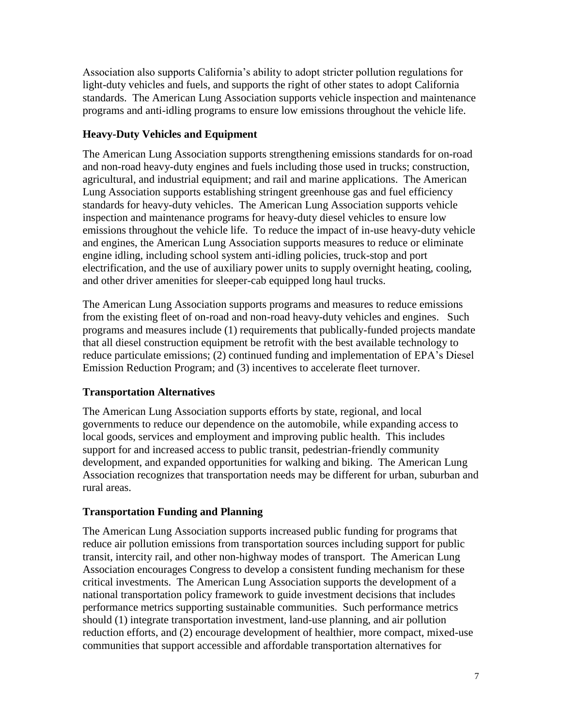Association also supports California's ability to adopt stricter pollution regulations for light-duty vehicles and fuels, and supports the right of other states to adopt California standards. The American Lung Association supports vehicle inspection and maintenance programs and anti-idling programs to ensure low emissions throughout the vehicle life.

# **Heavy-Duty Vehicles and Equipment**

The American Lung Association supports strengthening emissions standards for on-road and non-road heavy-duty engines and fuels including those used in trucks; construction, agricultural, and industrial equipment; and rail and marine applications. The American Lung Association supports establishing stringent greenhouse gas and fuel efficiency standards for heavy-duty vehicles. The American Lung Association supports vehicle inspection and maintenance programs for heavy-duty diesel vehicles to ensure low emissions throughout the vehicle life. To reduce the impact of in-use heavy-duty vehicle and engines, the American Lung Association supports measures to reduce or eliminate engine idling, including school system anti-idling policies, truck-stop and port electrification, and the use of auxiliary power units to supply overnight heating, cooling, and other driver amenities for sleeper-cab equipped long haul trucks.

The American Lung Association supports programs and measures to reduce emissions from the existing fleet of on-road and non-road heavy-duty vehicles and engines. Such programs and measures include (1) requirements that publically-funded projects mandate that all diesel construction equipment be retrofit with the best available technology to reduce particulate emissions; (2) continued funding and implementation of EPA's Diesel Emission Reduction Program; and (3) incentives to accelerate fleet turnover.

## **Transportation Alternatives**

The American Lung Association supports efforts by state, regional, and local governments to reduce our dependence on the automobile, while expanding access to local goods, services and employment and improving public health. This includes support for and increased access to public transit, pedestrian-friendly community development, and expanded opportunities for walking and biking. The American Lung Association recognizes that transportation needs may be different for urban, suburban and rural areas.

## **Transportation Funding and Planning**

The American Lung Association supports increased public funding for programs that reduce air pollution emissions from transportation sources including support for public transit, intercity rail, and other non-highway modes of transport. The American Lung Association encourages Congress to develop a consistent funding mechanism for these critical investments. The American Lung Association supports the development of a national transportation policy framework to guide investment decisions that includes performance metrics supporting sustainable communities. Such performance metrics should (1) integrate transportation investment, land-use planning, and air pollution reduction efforts, and (2) encourage development of healthier, more compact, mixed-use communities that support accessible and affordable transportation alternatives for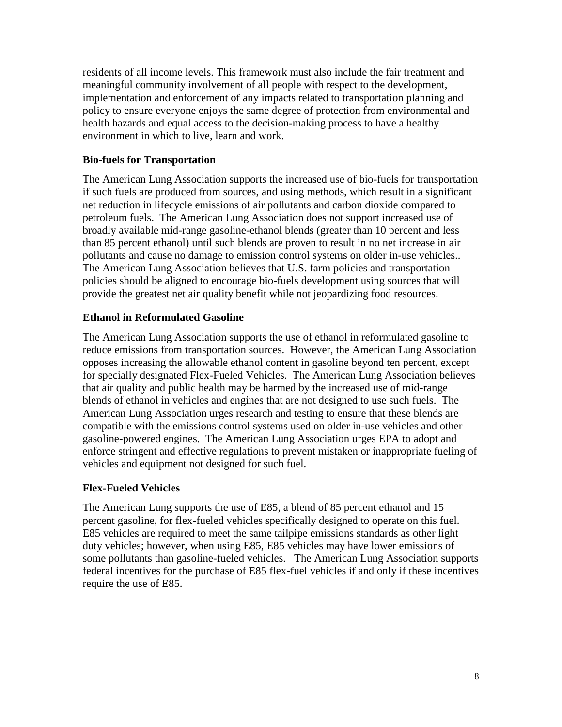residents of all income levels. This framework must also include the fair treatment and meaningful community involvement of all people with respect to the development, implementation and enforcement of any impacts related to transportation planning and policy to ensure everyone enjoys the same degree of protection from environmental and health hazards and equal access to the decision-making process to have a healthy environment in which to live, learn and work.

### **Bio-fuels for Transportation**

The American Lung Association supports the increased use of bio-fuels for transportation if such fuels are produced from sources, and using methods, which result in a significant net reduction in lifecycle emissions of air pollutants and carbon dioxide compared to petroleum fuels. The American Lung Association does not support increased use of broadly available mid-range gasoline-ethanol blends (greater than 10 percent and less than 85 percent ethanol) until such blends are proven to result in no net increase in air pollutants and cause no damage to emission control systems on older in-use vehicles.. The American Lung Association believes that U.S. farm policies and transportation policies should be aligned to encourage bio-fuels development using sources that will provide the greatest net air quality benefit while not jeopardizing food resources.

### **Ethanol in Reformulated Gasoline**

The American Lung Association supports the use of ethanol in reformulated gasoline to reduce emissions from transportation sources. However, the American Lung Association opposes increasing the allowable ethanol content in gasoline beyond ten percent, except for specially designated Flex-Fueled Vehicles. The American Lung Association believes that air quality and public health may be harmed by the increased use of mid-range blends of ethanol in vehicles and engines that are not designed to use such fuels. The American Lung Association urges research and testing to ensure that these blends are compatible with the emissions control systems used on older in-use vehicles and other gasoline-powered engines. The American Lung Association urges EPA to adopt and enforce stringent and effective regulations to prevent mistaken or inappropriate fueling of vehicles and equipment not designed for such fuel.

## **Flex-Fueled Vehicles**

The American Lung supports the use of E85, a blend of 85 percent ethanol and 15 percent gasoline, for flex-fueled vehicles specifically designed to operate on this fuel. E85 vehicles are required to meet the same tailpipe emissions standards as other light duty vehicles; however, when using E85, E85 vehicles may have lower emissions of some pollutants than gasoline-fueled vehicles. The American Lung Association supports federal incentives for the purchase of E85 flex-fuel vehicles if and only if these incentives require the use of E85.